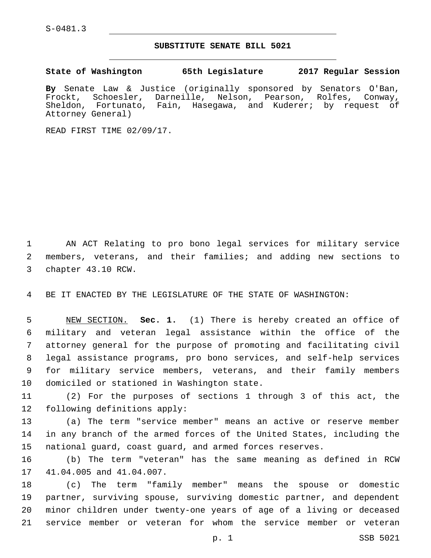S-0481.3

## **SUBSTITUTE SENATE BILL 5021**

**State of Washington 65th Legislature 2017 Regular Session**

**By** Senate Law & Justice (originally sponsored by Senators O'Ban, Frockt, Schoesler, Darneille, Nelson, Pearson, Rolfes, Conway, Sheldon, Fortunato, Fain, Hasegawa, and Kuderer; by request of Attorney General)

READ FIRST TIME 02/09/17.

1 AN ACT Relating to pro bono legal services for military service 2 members, veterans, and their families; and adding new sections to 3 chapter 43.10 RCW.

4 BE IT ENACTED BY THE LEGISLATURE OF THE STATE OF WASHINGTON:

 NEW SECTION. **Sec. 1.** (1) There is hereby created an office of military and veteran legal assistance within the office of the attorney general for the purpose of promoting and facilitating civil legal assistance programs, pro bono services, and self-help services for military service members, veterans, and their family members domiciled or stationed in Washington state.

11 (2) For the purposes of sections 1 through 3 of this act, the 12 following definitions apply:

13 (a) The term "service member" means an active or reserve member 14 in any branch of the armed forces of the United States, including the 15 national guard, coast guard, and armed forces reserves.

16 (b) The term "veteran" has the same meaning as defined in RCW 17 41.04.005 and 41.04.007.

 (c) The term "family member" means the spouse or domestic partner, surviving spouse, surviving domestic partner, and dependent minor children under twenty-one years of age of a living or deceased service member or veteran for whom the service member or veteran

p. 1 SSB 5021